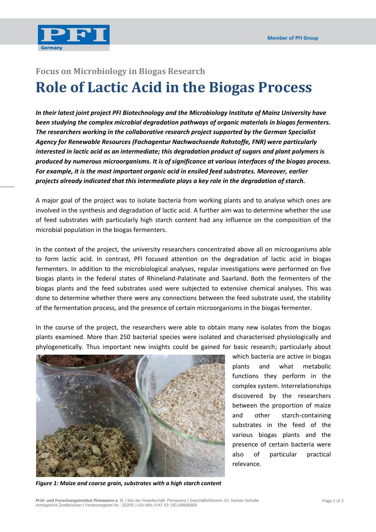

## **Focus on Microbiology in Biogas Research Role of Lactic Acid in the Biogas Process**

*In their latest joint project PFI Biotechnology and the Microbiology Institute of Mainz University have been studying the complex microbial degradation pathways of organic materials in biogas fermenters. The researchers working in the collaborative research project supported by the German Specialist Agency for Renewable Resources (Fachagentur Nachwachsende Rohstoffe, FNR) were particularly interested in lactic acid as an intermediate; this degradation product of sugars and plant polymers is produced by numerous microorganisms. It is of significance at various interfaces of the biogas process. For example, it is the most important organic acid in ensiled feed substrates. Moreover, earlier projects already indicated that this intermediate plays a key role in the degradation of starch.* 

A major goal of the project was to isolate bacteria from working plants and to analyse which ones are involved in the synthesis and degradation of lactic acid. A further aim was to determine whether the use of feed substrates with particularly high starch content had any influence on the composition of the microbial population in the biogas fermenters.

In the context of the project, the university researchers concentrated above all on microoganisms able to form lactic acid. In contrast, PFI focused attention on the degradation of lactic acid in biogas fermenters. In addition to the microbiological analyses, regular investigations were performed on five biogas plants in the federal states of Rhineland-Palatinate and Saarland. Both the fermenters of the biogas plants and the feed substrates used were subjected to extensive chemical analyses. This was done to determine whether there were any connections between the feed substrate used, the stability of the fermentation process, and the presence of certain microorganisms in the biogas fermenter.

In the course of the project, the researchers were able to obtain many new isolates from the biogas plants examined. More than 250 bacterial species were isolated and characterised physiologically and phylogenetically. Thus important new insights could be gained for basic research; particularly about



which bacteria are active in biogas plants and what metabolic functions they perform in the complex system. Interrelationships discovered by the researchers between the proportion of maize and other starch-containing substrates in the feed of the various biogas plants and the presence of certain bacteria were also of particular practical relevance.

*Figure 1: Maize and coarse grain, substrates with a high starch content*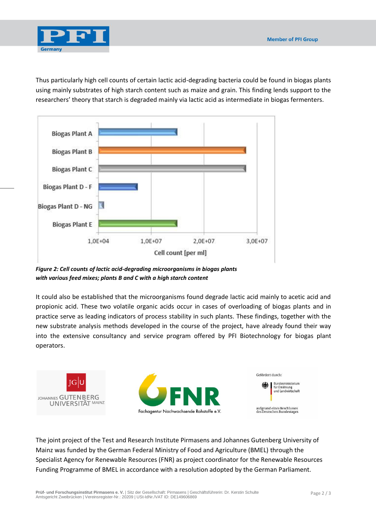

Thus particularly high cell counts of certain lactic acid-degrading bacteria could be found in biogas plants using mainly substrates of high starch content such as maize and grain. This finding lends support to the researchers' theory that starch is degraded mainly via lactic acid as intermediate in biogas fermenters.



*Figure 2: Cell counts of lactic acid-degrading microorganisms in biogas plants with various feed mixes; plants B and C with a high starch content*

It could also be established that the microorganisms found degrade lactic acid mainly to acetic acid and propionic acid. These two volatile organic acids occur in cases of overloading of biogas plants and in practice serve as leading indicators of process stability in such plants. These findings, together with the new substrate analysis methods developed in the course of the project, have already found their way into the extensive consultancy and service program offered by PFI Biotechnology for biogas plant operators.



The joint project of the Test and Research Institute Pirmasens and Johannes Gutenberg University of Mainz was funded by the German Federal Ministry of Food and Agriculture (BMEL) through the Specialist Agency for Renewable Resources (FNR) as project coordinator for the Renewable Resources Funding Programme of BMEL in accordance with a resolution adopted by the German Parliament.

**Prüf- und Forschungsinstitut Pirmasens e. V.** | Sitz der Gesellschaft: Pirmasens | Geschäftsführerin: Dr. Kerstin Schulte Amtsgericht Zweibrücken | Vereinsregister-Nr.: 20209 | USt-IdNr./VAT ID: DE149606869